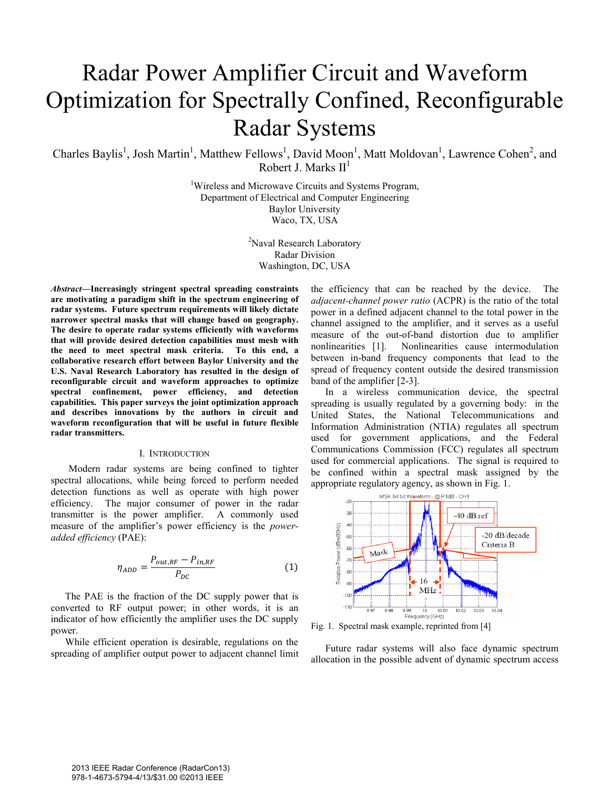# Radar Power Amplifier Circuit and Waveform Optimization for Spectrally Confined, Reconfigurable Radar Systems

Charles Baylis<sup>1</sup>, Josh Martin<sup>1</sup>, Matthew Fellows<sup>1</sup>, David Moon<sup>1</sup>, Matt Moldovan<sup>1</sup>, Lawrence Cohen<sup>2</sup>, and Robert J. Marks  $II<sup>1</sup>$ 

> <sup>1</sup>Wireless and Microwave Circuits and Systems Program, Department of Electrical and Computer Engineering Baylor University Waco, TX, USA

> > <sup>2</sup>Naval Research Laboratory Radar Division Washington, DC, USA

*Abstract***—Increasingly stringent spectral spreading constraints are motivating a paradigm shift in the spectrum engineering of radar systems. Future spectrum requirements will likely dictate narrower spectral masks that will change based on geography. The desire to operate radar systems efficiently with waveforms that will provide desired detection capabilities must mesh with the need to meet spectral mask criteria. To this end, a collaborative research effort between Baylor University and the U.S. Naval Research Laboratory has resulted in the design of reconfigurable circuit and waveform approaches to optimize spectral confinement, power efficiency, and detection capabilities. This paper surveys the joint optimization approach and describes innovations by the authors in circuit and waveform reconfiguration that will be useful in future flexible radar transmitters.** 

### I. INTRODUCTION

Modern radar systems are being confined to tighter spectral allocations, while being forced to perform needed detection functions as well as operate with high power efficiency. The major consumer of power in the radar transmitter is the power amplifier. A commonly used measure of the amplifier's power efficiency is the *poweradded efficiency* (PAE):

$$
\eta_{ADD} = \frac{P_{out,RF} - P_{in,RF}}{P_{DC}} \tag{1}
$$

The PAE is the fraction of the DC supply power that is converted to RF output power; in other words, it is an indicator of how efficiently the amplifier uses the DC supply power.

While efficient operation is desirable, regulations on the spreading of amplifier output power to adjacent channel limit

the efficiency that can be reached by the device. The *adjacent-channel power ratio* (ACPR) is the ratio of the total power in a defined adjacent channel to the total power in the channel assigned to the amplifier, and it serves as a useful measure of the out-of-band distortion due to amplifier nonlinearities [1]. Nonlinearities cause intermodulation between in-band frequency components that lead to the spread of frequency content outside the desired transmission band of the amplifier [2-3].

In a wireless communication device, the spectral spreading is usually regulated by a governing body: in the United States, the National Telecommunications and Information Administration (NTIA) regulates all spectrum used for government applications, and the Federal Communications Commission (FCC) regulates all spectrum used for commercial applications. The signal is required to be confined within a spectral mask assigned by the appropriate regulatory agency, as shown in Fig. 1.



Fig. 1. Spectral mask example, reprinted from [4]

Future radar systems will also face dynamic spectrum allocation in the possible advent of dynamic spectrum access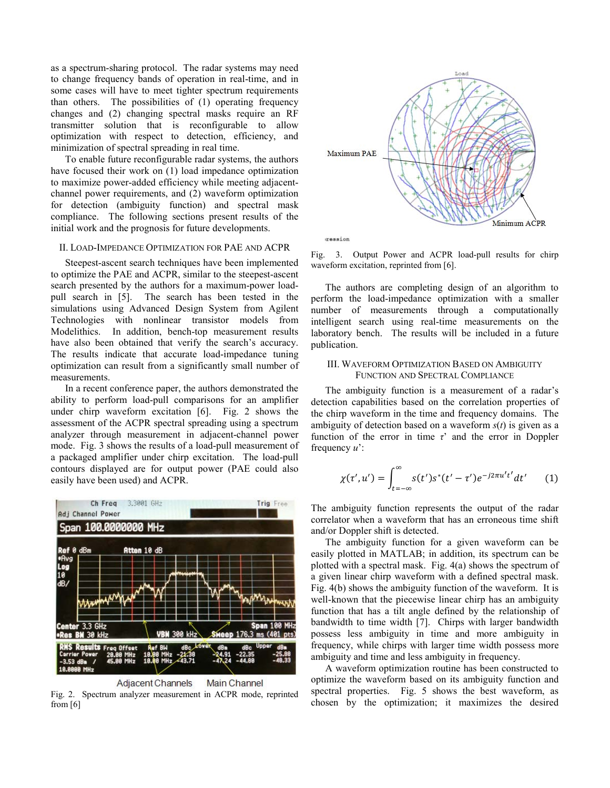as a spectrum-sharing protocol. The radar systems may need to change frequency bands of operation in real-time, and in some cases will have to meet tighter spectrum requirements than others. The possibilities of (1) operating frequency changes and (2) changing spectral masks require an RF transmitter solution that is reconfigurable to allow optimization with respect to detection, efficiency, and minimization of spectral spreading in real time.

To enable future reconfigurable radar systems, the authors have focused their work on (1) load impedance optimization to maximize power-added efficiency while meeting adjacentchannel power requirements, and (2) waveform optimization for detection (ambiguity function) and spectral mask compliance. The following sections present results of the initial work and the prognosis for future developments.

## II. LOAD-IMPEDANCE OPTIMIZATION FOR PAE AND ACPR

Steepest-ascent search techniques have been implemented to optimize the PAE and ACPR, similar to the steepest-ascent search presented by the authors for a maximum-power loadpull search in [5]. The search has been tested in the simulations using Advanced Design System from Agilent Technologies with nonlinear transistor models from Modelithics. In addition, bench-top measurement results have also been obtained that verify the search's accuracy. The results indicate that accurate load-impedance tuning optimization can result from a significantly small number of measurements.

In a recent conference paper, the authors demonstrated the ability to perform load-pull comparisons for an amplifier under chirp waveform excitation [6]. Fig. 2 shows the assessment of the ACPR spectral spreading using a spectrum analyzer through measurement in adjacent-channel power mode. Fig. 3 shows the results of a load-pull measurement of a packaged amplifier under chirp excitation. The load-pull contours displayed are for output power (PAE could also easily have been used) and ACPR.







Fig. 3. Output Power and ACPR load-pull results for chirp waveform excitation, reprinted from [6].

The authors are completing design of an algorithm to perform the load-impedance optimization with a smaller number of measurements through a computationally intelligent search using real-time measurements on the laboratory bench. The results will be included in a future publication.

# III. WAVEFORM OPTIMIZATION BASED ON AMBIGUITY FUNCTION AND SPECTRAL COMPLIANCE

The ambiguity function is a measurement of a radar's detection capabilities based on the correlation properties of the chirp waveform in the time and frequency domains. The ambiguity of detection based on a waveform *s*(*t*) is given as a function of the error in time *τ*' and the error in Doppler frequency *u*':

$$
\chi(\tau', u') = \int_{t=-\infty}^{\infty} s(t') s^*(t' - \tau') e^{-j2\pi u' t'} dt' \qquad (1)
$$

The ambiguity function represents the output of the radar correlator when a waveform that has an erroneous time shift and/or Doppler shift is detected.

The ambiguity function for a given waveform can be easily plotted in MATLAB; in addition, its spectrum can be plotted with a spectral mask. Fig. 4(a) shows the spectrum of a given linear chirp waveform with a defined spectral mask. Fig. 4(b) shows the ambiguity function of the waveform. It is well-known that the piecewise linear chirp has an ambiguity function that has a tilt angle defined by the relationship of bandwidth to time width [7]. Chirps with larger bandwidth possess less ambiguity in time and more ambiguity in frequency, while chirps with larger time width possess more ambiguity and time and less ambiguity in frequency.

A waveform optimization routine has been constructed to optimize the waveform based on its ambiguity function and spectral properties. Fig. 5 shows the best waveform, as chosen by the optimization; it maximizes the desired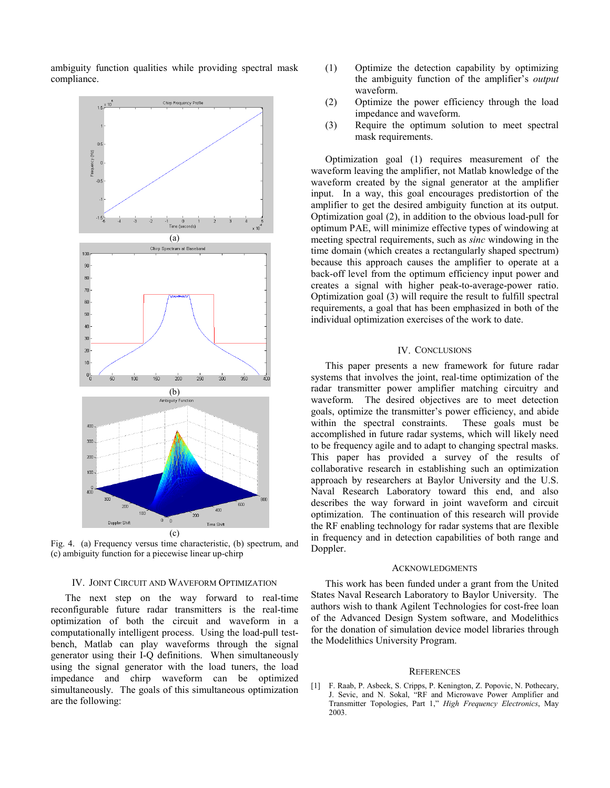ambiguity function qualities while providing spectral mask compliance.



Fig. 4. (a) Frequency versus time characteristic, (b) spectrum, and (c) ambiguity function for a piecewise linear up-chirp

## IV. JOINT CIRCUIT AND WAVEFORM OPTIMIZATION

The next step on the way forward to real-time reconfigurable future radar transmitters is the real-time optimization of both the circuit and waveform in a computationally intelligent process. Using the load-pull testbench, Matlab can play waveforms through the signal generator using their I-Q definitions. When simultaneously using the signal generator with the load tuners, the load impedance and chirp waveform can be optimized simultaneously. The goals of this simultaneous optimization are the following:

- (1) Optimize the detection capability by optimizing the ambiguity function of the amplifier's *output* waveform.
- (2) Optimize the power efficiency through the load impedance and waveform.
- (3) Require the optimum solution to meet spectral mask requirements.

Optimization goal (1) requires measurement of the waveform leaving the amplifier, not Matlab knowledge of the waveform created by the signal generator at the amplifier input. In a way, this goal encourages predistortion of the amplifier to get the desired ambiguity function at its output. Optimization goal (2), in addition to the obvious load-pull for optimum PAE, will minimize effective types of windowing at meeting spectral requirements, such as *sinc* windowing in the time domain (which creates a rectangularly shaped spectrum) because this approach causes the amplifier to operate at a back-off level from the optimum efficiency input power and creates a signal with higher peak-to-average-power ratio. Optimization goal (3) will require the result to fulfill spectral requirements, a goal that has been emphasized in both of the individual optimization exercises of the work to date.

## IV. CONCLUSIONS

This paper presents a new framework for future radar systems that involves the joint, real-time optimization of the radar transmitter power amplifier matching circuitry and waveform. The desired objectives are to meet detection goals, optimize the transmitter's power efficiency, and abide within the spectral constraints. These goals must be accomplished in future radar systems, which will likely need to be frequency agile and to adapt to changing spectral masks. This paper has provided a survey of the results of collaborative research in establishing such an optimization approach by researchers at Baylor University and the U.S. Naval Research Laboratory toward this end, and also describes the way forward in joint waveform and circuit optimization. The continuation of this research will provide the RF enabling technology for radar systems that are flexible in frequency and in detection capabilities of both range and Doppler.

#### **ACKNOWLEDGMENTS**

This work has been funded under a grant from the United States Naval Research Laboratory to Baylor University. The authors wish to thank Agilent Technologies for cost-free loan of the Advanced Design System software, and Modelithics for the donation of simulation device model libraries through the Modelithics University Program.

#### **REFERENCES**

[1] F. Raab, P. Asbeck, S. Cripps, P. Kenington, Z. Popovic, N. Pothecary, J. Sevic, and N. Sokal, "RF and Microwave Power Amplifier and Transmitter Topologies, Part 1," *High Frequency Electronics*, May 2003.